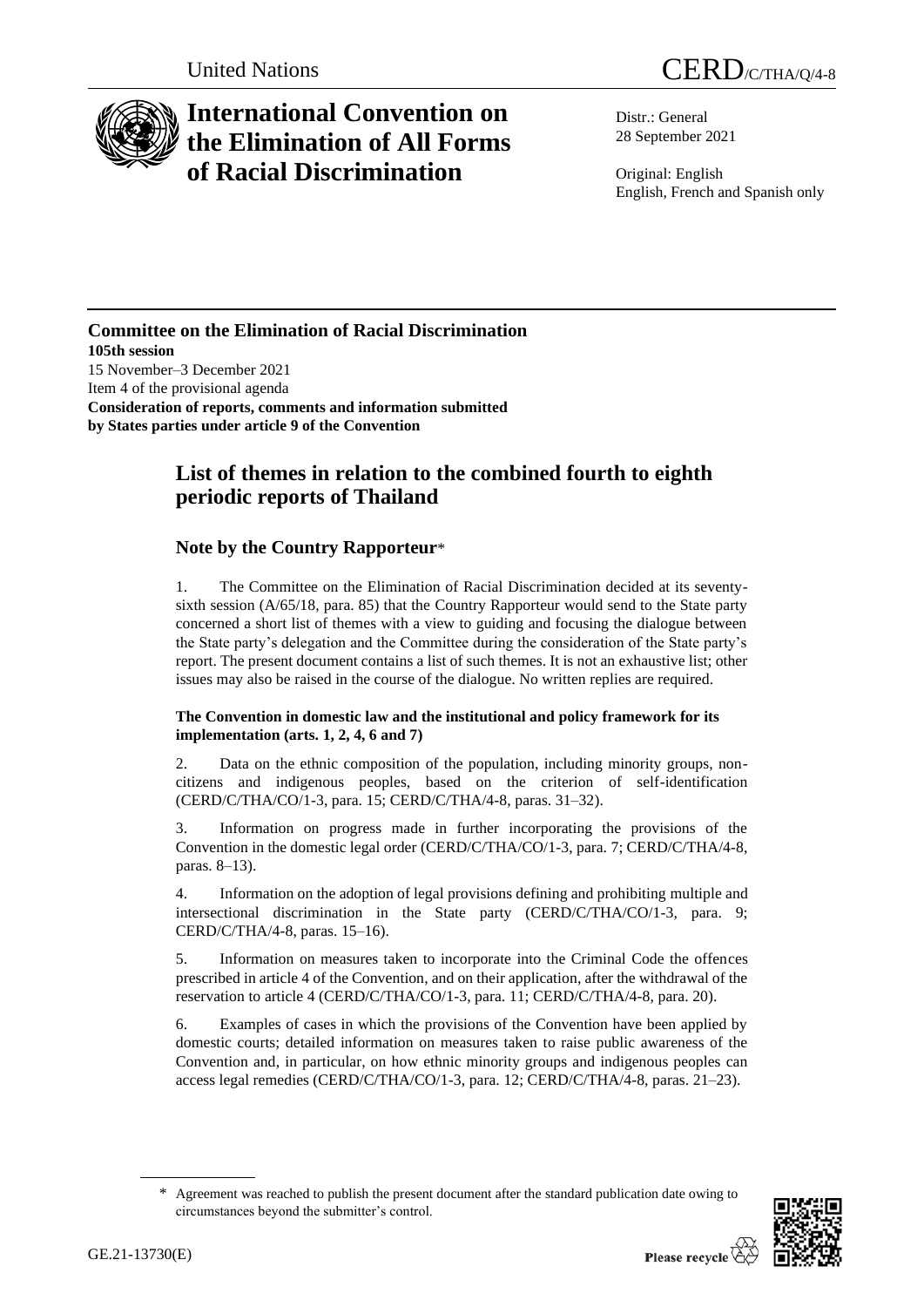



# **International Convention on the Elimination of All Forms of Racial Discrimination**

Distr.: General 28 September 2021

Original: English English, French and Spanish only

### **Committee on the Elimination of Racial Discrimination 105th session** 15 November–3 December 2021 Item 4 of the provisional agenda **Consideration of reports, comments and information submitted by States parties under article 9 of the Convention**

# **List of themes in relation to the combined fourth to eighth periodic reports of Thailand**

# **Note by the Country Rapporteur**\*

1. The Committee on the Elimination of Racial Discrimination decided at its seventysixth session (A/65/18, para. 85) that the Country Rapporteur would send to the State party concerned a short list of themes with a view to guiding and focusing the dialogue between the State party's delegation and the Committee during the consideration of the State party's report. The present document contains a list of such themes. It is not an exhaustive list; other issues may also be raised in the course of the dialogue. No written replies are required.

## **The Convention in domestic law and the institutional and policy framework for its implementation (arts. 1, 2, 4, 6 and 7)**

2. Data on the ethnic composition of the population, including minority groups, noncitizens and indigenous peoples, based on the criterion of self-identification (CERD/C/THA/CO/1-3, para. 15; CERD/C/THA/4-8, paras. 31–32).

3. Information on progress made in further incorporating the provisions of the Convention in the domestic legal order (CERD/C/THA/CO/1-3, para. 7; CERD/C/THA/4-8, paras. 8–13).

4. Information on the adoption of legal provisions defining and prohibiting multiple and intersectional discrimination in the State party (CERD/C/THA/CO/1-3, para. 9; CERD/C/THA/4-8, paras. 15–16).

5. Information on measures taken to incorporate into the Criminal Code the offences prescribed in article 4 of the Convention, and on their application, after the withdrawal of the reservation to article 4 (CERD/C/THA/CO/1-3, para. 11; CERD/C/THA/4-8, para. 20).

6. Examples of cases in which the provisions of the Convention have been applied by domestic courts; detailed information on measures taken to raise public awareness of the Convention and, in particular, on how ethnic minority groups and indigenous peoples can access legal remedies (CERD/C/THA/CO/1-3, para. 12; CERD/C/THA/4-8, paras. 21–23).

<sup>\*</sup> Agreement was reached to publish the present document after the standard publication date owing to circumstances beyond the submitter's control.

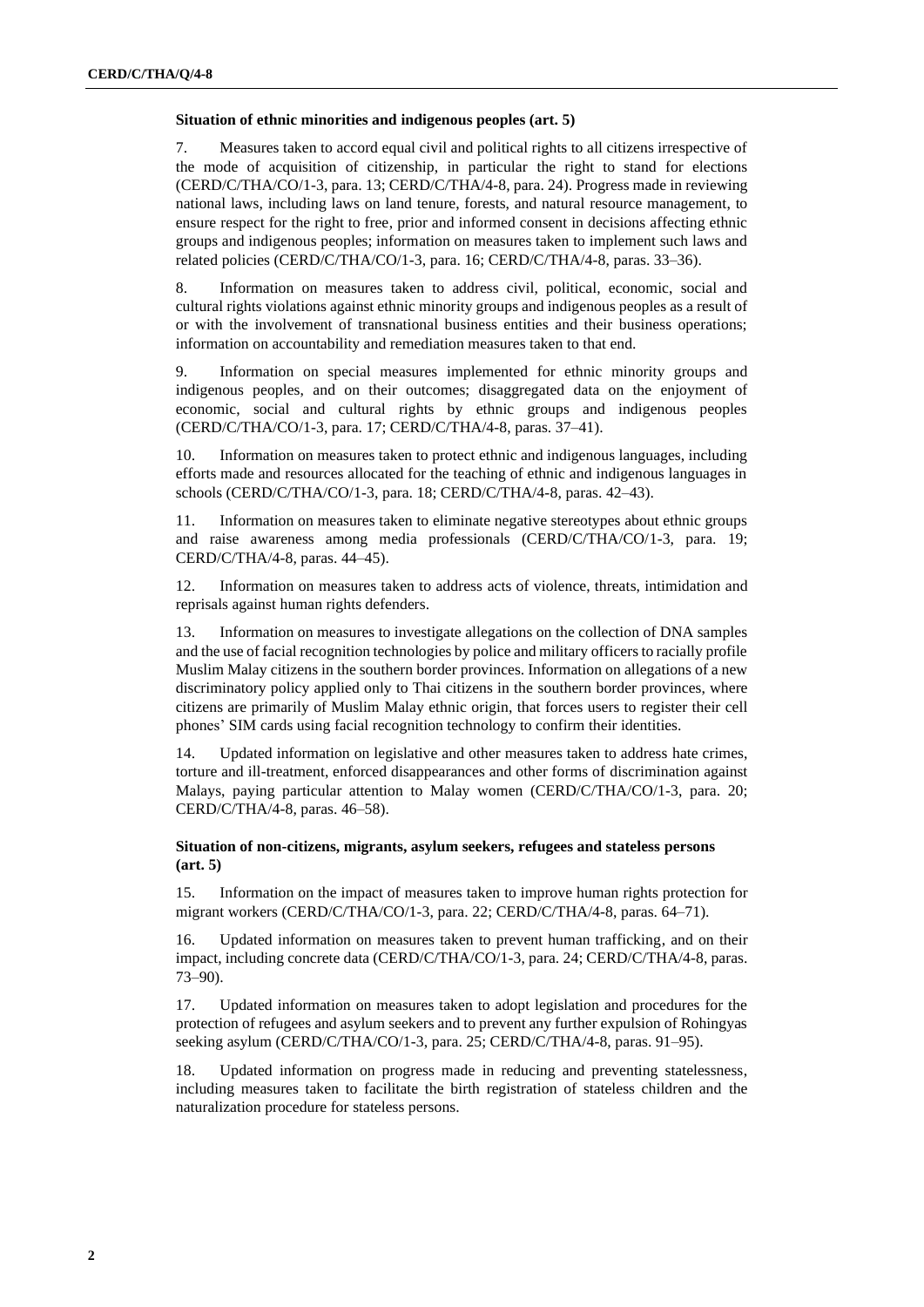#### **Situation of ethnic minorities and indigenous peoples (art. 5)**

7. Measures taken to accord equal civil and political rights to all citizens irrespective of the mode of acquisition of citizenship, in particular the right to stand for elections (CERD/C/THA/CO/1-3, para. 13; CERD/C/THA/4-8, para. 24). Progress made in reviewing national laws, including laws on land tenure, forests, and natural resource management, to ensure respect for the right to free, prior and informed consent in decisions affecting ethnic groups and indigenous peoples; information on measures taken to implement such laws and related policies (CERD/C/THA/CO/1-3, para. 16; CERD/C/THA/4-8, paras. 33–36).

8. Information on measures taken to address civil, political, economic, social and cultural rights violations against ethnic minority groups and indigenous peoples as a result of or with the involvement of transnational business entities and their business operations; information on accountability and remediation measures taken to that end.

9. Information on special measures implemented for ethnic minority groups and indigenous peoples, and on their outcomes; disaggregated data on the enjoyment of economic, social and cultural rights by ethnic groups and indigenous peoples (CERD/C/THA/CO/1-3, para. 17; CERD/C/THA/4-8, paras. 37–41).

10. Information on measures taken to protect ethnic and indigenous languages, including efforts made and resources allocated for the teaching of ethnic and indigenous languages in schools (CERD/C/THA/CO/1-3, para. 18; CERD/C/THA/4-8, paras. 42–43).

11. Information on measures taken to eliminate negative stereotypes about ethnic groups and raise awareness among media professionals (CERD/C/THA/CO/1-3, para. 19; CERD/C/THA/4-8, paras. 44–45).

12. Information on measures taken to address acts of violence, threats, intimidation and reprisals against human rights defenders.

13. Information on measures to investigate allegations on the collection of DNA samples and the use of facial recognition technologies by police and military officers to racially profile Muslim Malay citizens in the southern border provinces. Information on allegations of a new discriminatory policy applied only to Thai citizens in the southern border provinces, where citizens are primarily of Muslim Malay ethnic origin, that forces users to register their cell phones' SIM cards using facial recognition technology to confirm their identities.

14. Updated information on legislative and other measures taken to address hate crimes, torture and ill-treatment, enforced disappearances and other forms of discrimination against Malays, paying particular attention to Malay women (CERD/C/THA/CO/1-3, para. 20; CERD/C/THA/4-8, paras. 46–58).

#### **Situation of non-citizens, migrants, asylum seekers, refugees and stateless persons (art. 5)**

15. Information on the impact of measures taken to improve human rights protection for migrant workers (CERD/C/THA/CO/1-3, para. 22; CERD/C/THA/4-8, paras. 64–71).

Updated information on measures taken to prevent human trafficking, and on their impact, including concrete data (CERD/C/THA/CO/1-3, para. 24; CERD/C/THA/4-8, paras. 73–90).

17. Updated information on measures taken to adopt legislation and procedures for the protection of refugees and asylum seekers and to prevent any further expulsion of Rohingyas seeking asylum (CERD/C/THA/CO/1-3, para. 25; CERD/C/THA/4-8, paras. 91–95).

18. Updated information on progress made in reducing and preventing statelessness, including measures taken to facilitate the birth registration of stateless children and the naturalization procedure for stateless persons.